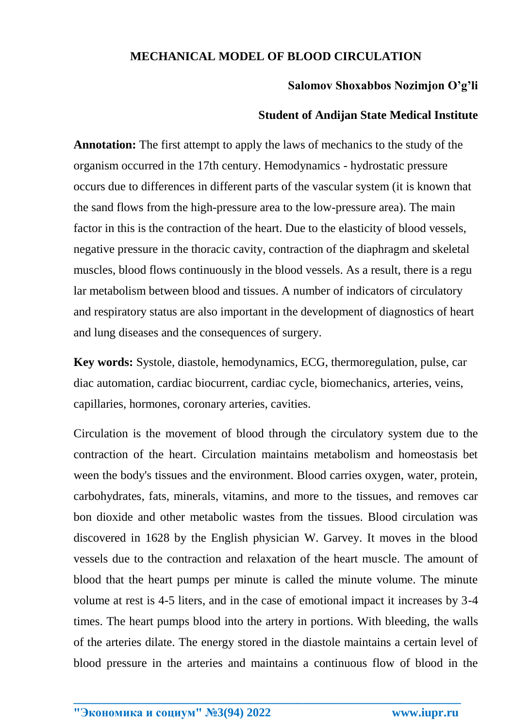## **MECHANICAL MODEL OF BLOOD CIRCULATION**

## **Salomov Shoxabbos Nozimjon O'g'li**

## **Student of Andijan State Medical Institute**

**Annotation:** The first attempt to apply the laws of mechanics to the study of the organism occurred in the 17th century. Hemodynamics - hydrostatic pressure occurs due to differences in different parts of the vascular system (it is known that the sand flows from the high-pressure area to the low-pressure area). The main factor in this is the contraction of the heart. Due to the elasticity of blood vessels, negative pressure in the thoracic cavity, contraction of the diaphragm and skeletal muscles, blood flows continuously in the blood vessels. As a result, there is a regu lar metabolism between blood and tissues. A number of indicators of circulatory and respiratory status are also important in the development of diagnostics of heart and lung diseases and the consequences of surgery.

**Key words:** Systole, diastole, hemodynamics, ECG, thermoregulation, pulse, car diac automation, cardiac biocurrent, cardiac cycle, biomechanics, arteries, veins, capillaries, hormones, coronary arteries, cavities.

Circulation is the movement of blood through the circulatory system due to the contraction of the heart. Circulation maintains metabolism and homeostasis bet ween the body's tissues and the environment. Blood carries oxygen, water, protein, carbohydrates, fats, minerals, vitamins, and more to the tissues, and removes car bon dioxide and other metabolic wastes from the tissues. Blood circulation was discovered in 1628 by the English physician W. Garvey. It moves in the blood vessels due to the contraction and relaxation of the heart muscle. The amount of blood that the heart pumps per minute is called the minute volume. The minute volume at rest is 4-5 liters, and in the case of emotional impact it increases by 3-4 times. The heart pumps blood into the artery in portions. With bleeding, the walls of the arteries dilate. The energy stored in the diastole maintains a certain level of blood pressure in the arteries and maintains a continuous flow of blood in the

**\_\_\_\_\_\_\_\_\_\_\_\_\_\_\_\_\_\_\_\_\_\_\_\_\_\_\_\_\_\_\_\_\_\_\_\_\_\_\_\_\_\_\_\_\_\_\_\_\_\_\_\_\_\_\_\_\_\_\_\_\_\_\_\_**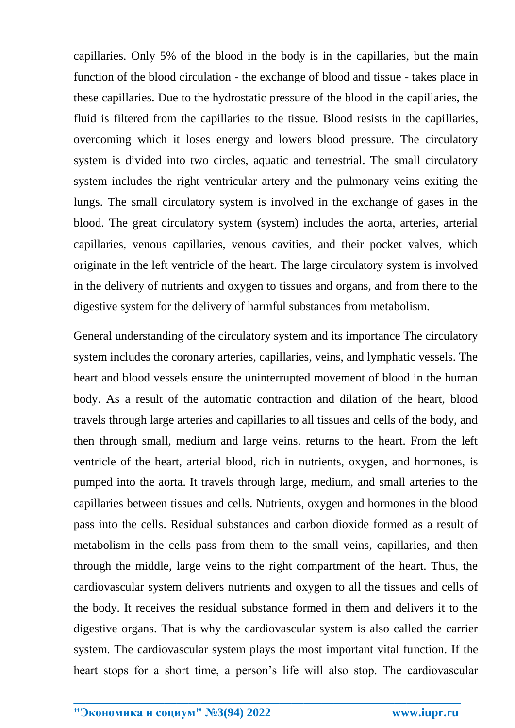capillaries. Only 5% of the blood in the body is in the capillaries, but the main function of the blood circulation - the exchange of blood and tissue - takes place in these capillaries. Due to the hydrostatic pressure of the blood in the capillaries, the fluid is filtered from the capillaries to the tissue. Blood resists in the capillaries, overcoming which it loses energy and lowers blood pressure. The circulatory system is divided into two circles, aquatic and terrestrial. The small circulatory system includes the right ventricular artery and the pulmonary veins exiting the lungs. The small circulatory system is involved in the exchange of gases in the blood. The great circulatory system (system) includes the aorta, arteries, arterial capillaries, venous capillaries, venous cavities, and their pocket valves, which originate in the left ventricle of the heart. The large circulatory system is involved in the delivery of nutrients and oxygen to tissues and organs, and from there to the digestive system for the delivery of harmful substances from metabolism.

General understanding of the circulatory system and its importance The circulatory system includes the coronary arteries, capillaries, veins, and lymphatic vessels. The heart and blood vessels ensure the uninterrupted movement of blood in the human body. As a result of the automatic contraction and dilation of the heart, blood travels through large arteries and capillaries to all tissues and cells of the body, and then through small, medium and large veins. returns to the heart. From the left ventricle of the heart, arterial blood, rich in nutrients, oxygen, and hormones, is pumped into the aorta. It travels through large, medium, and small arteries to the capillaries between tissues and cells. Nutrients, oxygen and hormones in the blood pass into the cells. Residual substances and carbon dioxide formed as a result of metabolism in the cells pass from them to the small veins, capillaries, and then through the middle, large veins to the right compartment of the heart. Thus, the cardiovascular system delivers nutrients and oxygen to all the tissues and cells of the body. It receives the residual substance formed in them and delivers it to the digestive organs. That is why the cardiovascular system is also called the carrier system. The cardiovascular system plays the most important vital function. If the heart stops for a short time, a person's life will also stop. The cardiovascular

**\_\_\_\_\_\_\_\_\_\_\_\_\_\_\_\_\_\_\_\_\_\_\_\_\_\_\_\_\_\_\_\_\_\_\_\_\_\_\_\_\_\_\_\_\_\_\_\_\_\_\_\_\_\_\_\_\_\_\_\_\_\_\_\_**